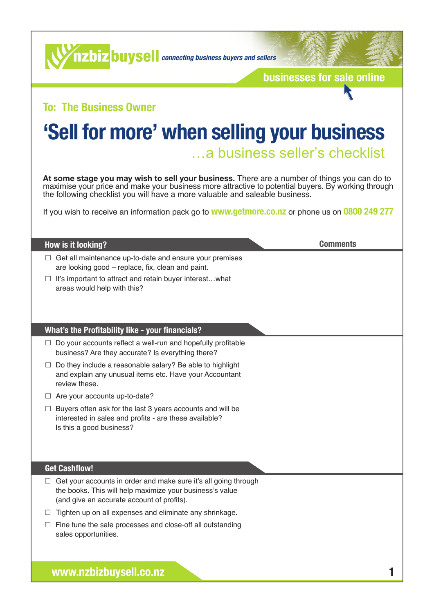**connecting buyse connecting business buyers and sellers** 

**[businesses for sale online](https://www.nzbizbuysell.co.nz)**

#### **To: The Business Owner**

## **'Sell for more' when selling your business**

…a business seller's checklist

**At some stage you may wish to [sell your business.](https://www.nzbizbuysell.co.nz/sell-your-business)** There are a number of things you can do to maximise your price and make your business more attractive to potential buyers. By working through the following checklist you will have a more valuable and saleable business.

If you wish to receive an information pack go to **[www.getmore.co.nz](http://www.getmore.co.nz)** or phone us on **0800 249 277**

#### **How is it looking?**

**Comments**

- $\Box$  Get all maintenance up-to-date and ensure your premises are looking good – replace, fix, clean and paint.
- $\Box$  It's important to attract and retain buyer interest...what areas would help with this?

#### **What's the Profitability like - your financials?**

- $\Box$  Do your accounts reflect a well-run and hopefully profitable business? Are they accurate? Is everything there?
- $\Box$  Do they include a reasonable salary? Be able to highlight and explain any unusual items etc. Have your Accountant review these.
- $\Box$  Are your accounts up-to-date?
- $\Box$  Buyers often ask for the last 3 years accounts and will be interested in sales and profits - are these available? Is this a good business?

#### **Get Cashflow!**

- $\Box$  Get your accounts in order and make sure it's all going through the books. This will help maximize your business's value (and give an accurate account of profits).
- $\Box$  Tighten up on all expenses and eliminate any shrinkage.
- $\Box$  Fine tune the sale processes and close-off all outstanding sales opportunities.

**[www.nzbizbuysell.co.nz](https://www.nzbizbuysell.co.nz) 1**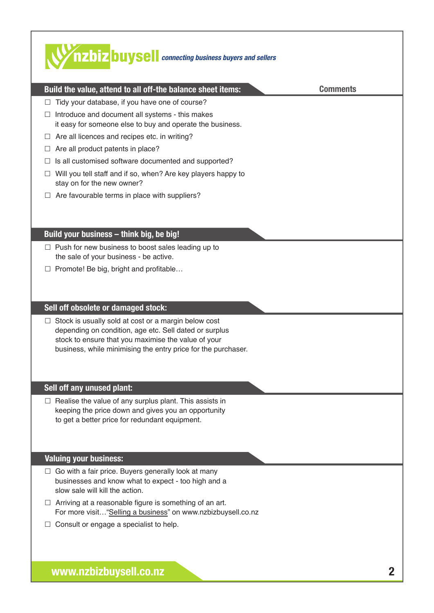### **connecting business buyers and sellers Build the value, attend to all off-the balance sheet items: Comments**  $\Box$  Tidy your database, if you have one of course?  $\Box$  Introduce and document all systems - this makes it easy for someone else to buy and operate the business.  $\Box$  Are all licences and recipes etc. in writing?  $\Box$  Are all product patents in place?  $\Box$  Is all customised software documented and supported?  $\Box$  Will you tell staff and if so, when? Are key players happy to stay on for the new owner?  $\Box$  Are favourable terms in place with suppliers? **Build your business – think big, be big!**  $\Box$  Push for new business to boost sales leading up to the sale of your business - be active.  $\Box$  Promote! Be big, bright and profitable... **Sell off obsolete or damaged stock:**  $\Box$  Stock is usually sold at cost or a margin below cost depending on condition, age etc. Sell dated or surplus stock to ensure that you maximise the value of your business, while minimising the entry price for the purchaser. **Sell off any unused plant:**  $\Box$  Realise the value of any surplus plant. This assists in keeping the price down and gives you an opportunity to get a better price for redundant equipment. **Valuing your business:**   $\Box$  Go with a fair price. Buyers generally look at many businesses and know what to expect - too high and a slow sale will kill the action.  $\Box$  Arriving at a reasonable figure is something of an art. For more visit…"[Selling a business](https://www.nzbizbuysell.co.nz/selling-a-business)" on [www.nzbizbuysell.co.nz](https://www.nzbizbuysell.co.nz)  $\Box$  Consult or engage a specialist to help.

**[www.nzbizbuysell.co.nz](https://www.nzbizbuysell.co.nz) 2**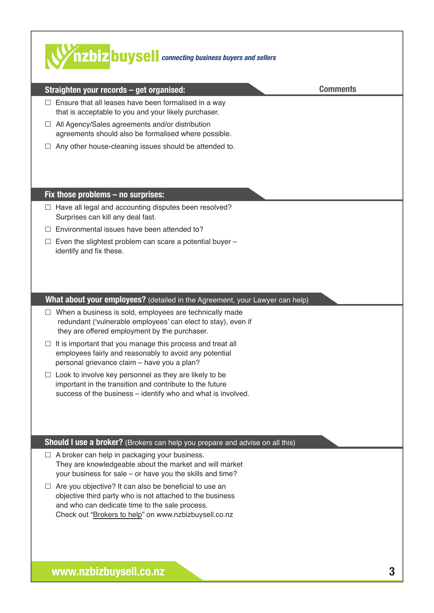| <b>WAZOIZ DUYSE</b> connecting business buyers and sellers                                                                                                                                                                                                                                                                                                                                                                                                                                                                                    |                 |
|-----------------------------------------------------------------------------------------------------------------------------------------------------------------------------------------------------------------------------------------------------------------------------------------------------------------------------------------------------------------------------------------------------------------------------------------------------------------------------------------------------------------------------------------------|-----------------|
| Straighten your records - get organised:                                                                                                                                                                                                                                                                                                                                                                                                                                                                                                      | <b>Comments</b> |
| Ensure that all leases have been formalised in a way<br>$\Box$<br>that is acceptable to you and your likely purchaser.<br>All Agency/Sales agreements and/or distribution<br>ш<br>agreements should also be formalised where possible.<br>Any other house-cleaning issues should be attended to.                                                                                                                                                                                                                                              |                 |
| Fix those problems - no surprises:                                                                                                                                                                                                                                                                                                                                                                                                                                                                                                            |                 |
| Have all legal and accounting disputes been resolved?<br>ш<br>Surprises can kill any deal fast.<br>Environmental issues have been attended to?<br>Even the slightest problem can scare a potential buyer -<br>⊔<br>identify and fix these.                                                                                                                                                                                                                                                                                                    |                 |
| What about your employees? (detailed in the Agreement, your Lawyer can help)                                                                                                                                                                                                                                                                                                                                                                                                                                                                  |                 |
| $\Box$ When a business is sold, employees are technically made<br>redundant ('vulnerable employees' can elect to stay), even if<br>they are offered employment by the purchaser.<br>It is important that you manage this process and treat all<br>employees fairly and reasonably to avoid any potential<br>personal grievance claim - have you a plan?<br>Look to involve key personnel as they are likely to be<br>important in the transition and contribute to the future<br>success of the business - identify who and what is involved. |                 |
| Should I use a broker? (Brokers can help you prepare and advise on all this)                                                                                                                                                                                                                                                                                                                                                                                                                                                                  |                 |
| A broker can help in packaging your business.<br>They are knowledgeable about the market and will market<br>your business for sale - or have you the skills and time?<br>Are you objective? It can also be beneficial to use an<br>objective third party who is not attached to the business<br>and who can dedicate time to the sale process.<br>Check out "Brokers to help" on www.nzbizbuysell.co.nz                                                                                                                                       |                 |
| www.nzbizbuysell.co.nz                                                                                                                                                                                                                                                                                                                                                                                                                                                                                                                        |                 |